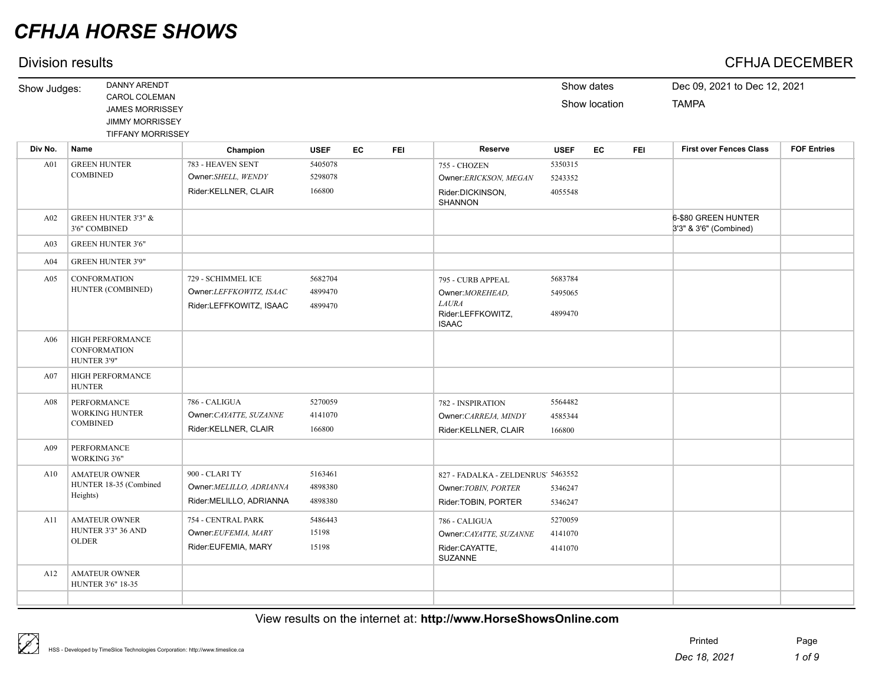## Division results CFHJA DECEMBER

| Show Judges:    | <b>DANNY ARENDT</b>                                                                           |                                                                          |                               |           |            |                                                                                            |                               | Show dates    |            | Dec 09, 2021 to Dec 12, 2021                  |                    |
|-----------------|-----------------------------------------------------------------------------------------------|--------------------------------------------------------------------------|-------------------------------|-----------|------------|--------------------------------------------------------------------------------------------|-------------------------------|---------------|------------|-----------------------------------------------|--------------------|
|                 | CAROL COLEMAN<br><b>JAMES MORRISSEY</b><br><b>JIMMY MORRISSEY</b><br><b>TIFFANY MORRISSEY</b> |                                                                          |                               |           |            |                                                                                            |                               | Show location |            | <b>TAMPA</b>                                  |                    |
| Div No.         | <b>Name</b>                                                                                   | Champion                                                                 | <b>USEF</b>                   | <b>EC</b> | <b>FEI</b> | <b>Reserve</b>                                                                             | <b>USEF</b>                   | <b>EC</b>     | <b>FEI</b> | <b>First over Fences Class</b>                | <b>FOF Entries</b> |
| A01             | <b>GREEN HUNTER</b><br><b>COMBINED</b>                                                        | 783 - HEAVEN SENT<br>Owner:SHELL, WENDY<br>Rider:KELLNER, CLAIR          | 5405078<br>5298078<br>166800  |           |            | 755 - CHOZEN<br>Owner:ERICKSON, MEGAN<br>Rider:DICKINSON,<br><b>SHANNON</b>                | 5350315<br>5243352<br>4055548 |               |            |                                               |                    |
| A02             | <b>GREEN HUNTER 3'3" &amp;</b><br>3'6" COMBINED                                               |                                                                          |                               |           |            |                                                                                            |                               |               |            | 6-\$80 GREEN HUNTER<br>3'3" & 3'6" (Combined) |                    |
| A03             | <b>GREEN HUNTER 3'6"</b>                                                                      |                                                                          |                               |           |            |                                                                                            |                               |               |            |                                               |                    |
| A <sub>04</sub> | <b>GREEN HUNTER 3'9"</b>                                                                      |                                                                          |                               |           |            |                                                                                            |                               |               |            |                                               |                    |
| A05             | <b>CONFORMATION</b><br>HUNTER (COMBINED)                                                      | 729 - SCHIMMEL ICE<br>Owner:LEFFKOWITZ, ISAAC<br>Rider:LEFFKOWITZ, ISAAC | 5682704<br>4899470<br>4899470 |           |            | 795 - CURB APPEAL<br>Owner: MOREHEAD,<br><b>LAURA</b><br>Rider:LEFFKOWITZ,<br><b>ISAAC</b> | 5683784<br>5495065<br>4899470 |               |            |                                               |                    |
| A06             | HIGH PERFORMANCE<br><b>CONFORMATION</b><br>HUNTER 3'9"                                        |                                                                          |                               |           |            |                                                                                            |                               |               |            |                                               |                    |
| A07             | <b>HIGH PERFORMANCE</b><br><b>HUNTER</b>                                                      |                                                                          |                               |           |            |                                                                                            |                               |               |            |                                               |                    |
| A08             | PERFORMANCE<br><b>WORKING HUNTER</b><br><b>COMBINED</b>                                       | 786 - CALIGUA<br>Owner:CAYATTE, SUZANNE<br>Rider:KELLNER, CLAIR          | 5270059<br>4141070<br>166800  |           |            | 782 - INSPIRATION<br>Owner: CARREJA, MINDY<br>Rider:KELLNER, CLAIR                         | 5564482<br>4585344<br>166800  |               |            |                                               |                    |
| A09             | PERFORMANCE<br>WORKING 3'6"                                                                   |                                                                          |                               |           |            |                                                                                            |                               |               |            |                                               |                    |
| A10             | <b>AMATEUR OWNER</b><br>HUNTER 18-35 (Combined<br>Heights)                                    | 900 - CLARI TY<br>Owner:MELILLO, ADRIANNA<br>Rider:MELILLO, ADRIANNA     | 5163461<br>4898380<br>4898380 |           |            | 827 - FADALKA - ZELDENRUS' 5463552<br>Owner: TOBIN, PORTER<br>Rider: TOBIN, PORTER         | 5346247<br>5346247            |               |            |                                               |                    |
| A11             | <b>AMATEUR OWNER</b><br>HUNTER 3'3" 36 AND<br><b>OLDER</b>                                    | 754 - CENTRAL PARK<br>Owner:EUFEMIA, MARY<br>Rider:EUFEMIA, MARY         | 5486443<br>15198<br>15198     |           |            | 786 - CALIGUA<br>Owner: CAYATTE, SUZANNE<br>Rider:CAYATTE,<br><b>SUZANNE</b>               | 5270059<br>4141070<br>4141070 |               |            |                                               |                    |
| A12             | <b>AMATEUR OWNER</b><br>HUNTER 3'6" 18-35                                                     |                                                                          |                               |           |            |                                                                                            |                               |               |            |                                               |                    |
|                 |                                                                                               |                                                                          |                               |           |            |                                                                                            |                               |               |            |                                               |                    |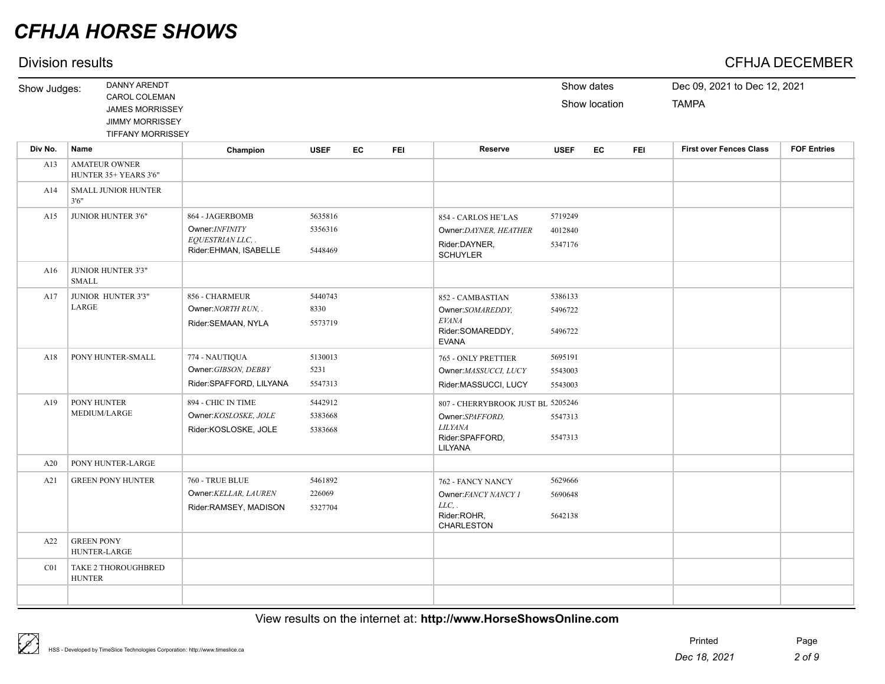## Division results CFHJA DECEMBER

| Show Judges: | <b>DANNY ARENDT</b>                                                                                  |                                                                                         |                               |    |            |                                                                                  |                               | Show dates    |            | Dec 09, 2021 to Dec 12, 2021   |                    |
|--------------|------------------------------------------------------------------------------------------------------|-----------------------------------------------------------------------------------------|-------------------------------|----|------------|----------------------------------------------------------------------------------|-------------------------------|---------------|------------|--------------------------------|--------------------|
|              | <b>CAROL COLEMAN</b><br><b>JAMES MORRISSEY</b><br><b>JIMMY MORRISSEY</b><br><b>TIFFANY MORRISSEY</b> |                                                                                         |                               |    |            |                                                                                  |                               | Show location |            | <b>TAMPA</b>                   |                    |
| Div No.      | Name                                                                                                 | Champion                                                                                | <b>USEF</b>                   | EC | <b>FEI</b> | Reserve                                                                          | <b>USEF</b>                   | EC            | <b>FEI</b> | <b>First over Fences Class</b> | <b>FOF Entries</b> |
| A13          | <b>AMATEUR OWNER</b><br>HUNTER 35+ YEARS 3'6"                                                        |                                                                                         |                               |    |            |                                                                                  |                               |               |            |                                |                    |
| A14          | <b>SMALL JUNIOR HUNTER</b><br>3'6''                                                                  |                                                                                         |                               |    |            |                                                                                  |                               |               |            |                                |                    |
| A15          | <b>JUNIOR HUNTER 3'6"</b>                                                                            | 864 - JAGERBOMB<br>Owner: <i>INFINITY</i><br>EQUESTRIAN LLC, .<br>Rider:EHMAN, ISABELLE | 5635816<br>5356316<br>5448469 |    |            | 854 - CARLOS HE'LAS<br>Owner:DAYNER, HEATHER<br>Rider:DAYNER,<br><b>SCHUYLER</b> | 5719249<br>4012840<br>5347176 |               |            |                                |                    |
| A16          | <b>JUNIOR HUNTER 3'3"</b><br>SMALL                                                                   |                                                                                         |                               |    |            |                                                                                  |                               |               |            |                                |                    |
| A17          | JUNIOR HUNTER 3'3"<br>LARGE                                                                          | 856 - CHARMEUR<br>$QW$ ner: $NQRTH$ $RIN$                                               | 5440743<br>8330               |    |            | 852 - CAMBASTIAN<br>$Q$ wner: $Q$ $M$ $D$ $F$ $D$ $N$                            | 5386133<br>5496722            |               |            |                                |                    |

|     | LARGE                                       | Owner: NORTH RUN<br>Rider:SEMAAN, NYLA                                   | 8330<br>5573719               | Owner:SOMAREDDY,<br><b>EVANA</b><br>Rider:SOMAREDDY,<br><b>EVANA</b>                                 | 5496722<br>5496722            |  |
|-----|---------------------------------------------|--------------------------------------------------------------------------|-------------------------------|------------------------------------------------------------------------------------------------------|-------------------------------|--|
| A18 | PONY HUNTER-SMALL                           | 774 - NAUTIQUA<br>Owner: GIBSON, DEBBY<br>Rider:SPAFFORD, LILYANA        | 5130013<br>5231<br>5547313    | 765 - ONLY PRETTIER<br>Owner: MASSUCCI, LUCY<br>Rider:MASSUCCI, LUCY                                 | 5695191<br>5543003<br>5543003 |  |
| A19 | PONY HUNTER<br>MEDIUM/LARGE                 | 894 - CHIC IN TIME<br>Owner:KOSLOSKE, JOLE<br>Rider:KOSLOSKE, JOLE       | 5442912<br>5383668<br>5383668 | 807 - CHERRYBROOK JUST BL 5205246<br>Owner:SPAFFORD.<br><b>LILYANA</b><br>Rider:SPAFFORD,<br>LILYANA | 5547313<br>5547313            |  |
| A20 | PONY HUNTER-LARGE                           |                                                                          |                               |                                                                                                      |                               |  |
| A21 | <b>GREEN PONY HUNTER</b>                    | <b>760 - TRUE BLUE</b><br>Owner: KELLAR, LAUREN<br>Rider:RAMSEY, MADISON | 5461892<br>226069<br>5327704  | 762 - FANCY NANCY<br>Owner: FANCY NANCY 1<br>$LLC$ .<br>Rider:ROHR,<br><b>CHARLESTON</b>             | 5629666<br>5690648<br>5642138 |  |
| A22 | <b>GREEN PONY</b><br>HUNTER-LARGE           |                                                                          |                               |                                                                                                      |                               |  |
| CO1 | <b>TAKE 2 THOROUGHBRED</b><br><b>HUNTER</b> |                                                                          |                               |                                                                                                      |                               |  |
|     |                                             |                                                                          |                               |                                                                                                      |                               |  |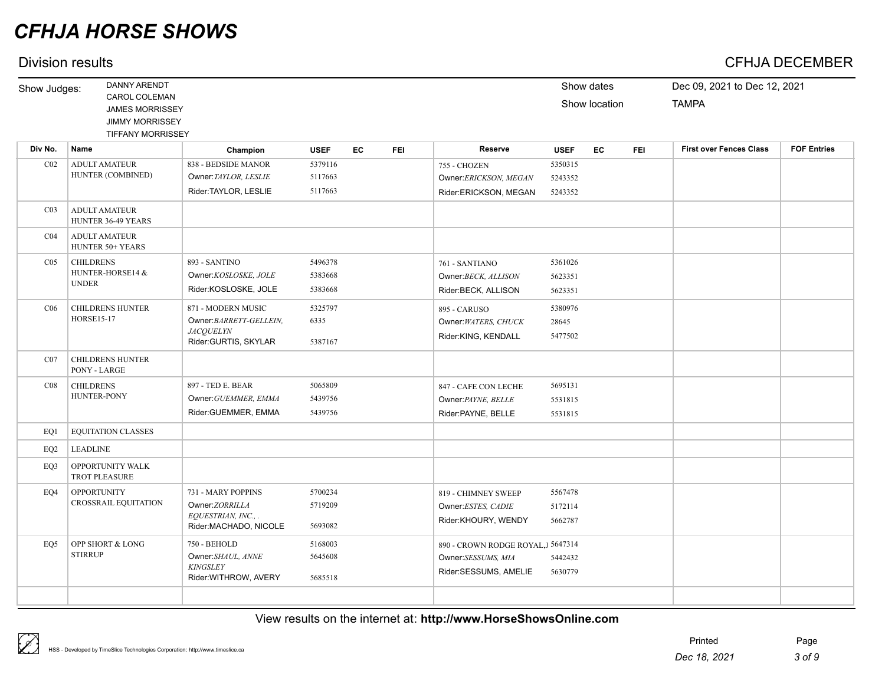## Division results CFHJA DECEMBER

| Show Judges:    | <b>DANNY ARENDT</b>                                                                           |                                                                                          |                               |    |            |                                                                                  |                               | Show dates    |            | Dec 09, 2021 to Dec 12, 2021   |                    |
|-----------------|-----------------------------------------------------------------------------------------------|------------------------------------------------------------------------------------------|-------------------------------|----|------------|----------------------------------------------------------------------------------|-------------------------------|---------------|------------|--------------------------------|--------------------|
|                 | CAROL COLEMAN<br><b>JAMES MORRISSEY</b><br><b>JIMMY MORRISSEY</b><br><b>TIFFANY MORRISSEY</b> |                                                                                          |                               |    |            |                                                                                  |                               | Show location |            | <b>TAMPA</b>                   |                    |
| Div No.         | Name                                                                                          | Champion                                                                                 | <b>USEF</b>                   | EC | <b>FEI</b> | <b>Reserve</b>                                                                   | <b>USEF</b>                   | EC            | <b>FEI</b> | <b>First over Fences Class</b> | <b>FOF Entries</b> |
| CO <sub>2</sub> | <b>ADULT AMATEUR</b><br>HUNTER (COMBINED)                                                     | 838 - BEDSIDE MANOR<br>Owner: TAYLOR, LESLIE<br>Rider:TAYLOR, LESLIE                     | 5379116<br>5117663<br>5117663 |    |            | 755 - CHOZEN<br>Owner:ERICKSON, MEGAN<br>Rider:ERICKSON, MEGAN                   | 5350315<br>5243352<br>5243352 |               |            |                                |                    |
| CO <sub>3</sub> | <b>ADULT AMATEUR</b><br>HUNTER 36-49 YEARS                                                    |                                                                                          |                               |    |            |                                                                                  |                               |               |            |                                |                    |
| CO <sub>4</sub> | <b>ADULT AMATEUR</b><br>HUNTER 50+ YEARS                                                      |                                                                                          |                               |    |            |                                                                                  |                               |               |            |                                |                    |
| CO <sub>5</sub> | <b>CHILDRENS</b><br>HUNTER-HORSE14 &<br><b>UNDER</b>                                          | 893 - SANTINO<br>Owner:KOSLOSKE, JOLE<br>Rider:KOSLOSKE, JOLE                            | 5496378<br>5383668<br>5383668 |    |            | 761 - SANTIANO<br>Owner:BECK, ALLISON<br>Rider:BECK, ALLISON                     | 5361026<br>5623351<br>5623351 |               |            |                                |                    |
| C <sub>06</sub> | <b>CHILDRENS HUNTER</b><br><b>HORSE15-17</b>                                                  | 871 - MODERN MUSIC<br>Owner:BARRETT-GELLEIN,<br><b>JACOUELYN</b><br>Rider:GURTIS, SKYLAR | 5325797<br>6335<br>5387167    |    |            | 895 - CARUSO<br>Owner: WATERS, CHUCK<br>Rider:KING, KENDALL                      | 5380976<br>28645<br>5477502   |               |            |                                |                    |
| CO7             | <b>CHILDRENS HUNTER</b><br>PONY - LARGE                                                       |                                                                                          |                               |    |            |                                                                                  |                               |               |            |                                |                    |
| CO8             | <b>CHILDRENS</b><br><b>HUNTER-PONY</b>                                                        | 897 - TED E. BEAR<br>Owner: GUEMMER, EMMA<br>Rider:GUEMMER, EMMA                         | 5065809<br>5439756<br>5439756 |    |            | 847 - CAFE CON LECHE<br>Owner: PAYNE, BELLE<br>Rider:PAYNE, BELLE                | 5695131<br>5531815<br>5531815 |               |            |                                |                    |
| EO1             | <b>EQUITATION CLASSES</b>                                                                     |                                                                                          |                               |    |            |                                                                                  |                               |               |            |                                |                    |
| EQ <sub>2</sub> | <b>LEADLINE</b>                                                                               |                                                                                          |                               |    |            |                                                                                  |                               |               |            |                                |                    |
| EQ3             | OPPORTUNITY WALK<br><b>TROT PLEASURE</b>                                                      |                                                                                          |                               |    |            |                                                                                  |                               |               |            |                                |                    |
| EO4             | <b>OPPORTUNITY</b><br><b>CROSSRAIL EQUITATION</b>                                             | 731 - MARY POPPINS<br>Owner:ZORRILLA<br>EQUESTRIAN, INC.,.<br>Rider:MACHADO, NICOLE      | 5700234<br>5719209<br>5693082 |    |            | 819 - CHIMNEY SWEEP<br>Owner:ESTES, CADIE<br>Rider:KHOURY, WENDY                 | 5567478<br>5172114<br>5662787 |               |            |                                |                    |
| EO5             | OPP SHORT & LONG<br><b>STIRRUP</b>                                                            | 750 - BEHOLD<br>Owner:SHAUL, ANNE<br><b>KINGSLEY</b><br>Rider: WITHROW, AVERY            | 5168003<br>5645608<br>5685518 |    |            | 890 - CROWN RODGE ROYAL, J5647314<br>Owner:SESSUMS, MIA<br>Rider:SESSUMS, AMELIE | 5442432<br>5630779            |               |            |                                |                    |
|                 |                                                                                               |                                                                                          |                               |    |            |                                                                                  |                               |               |            |                                |                    |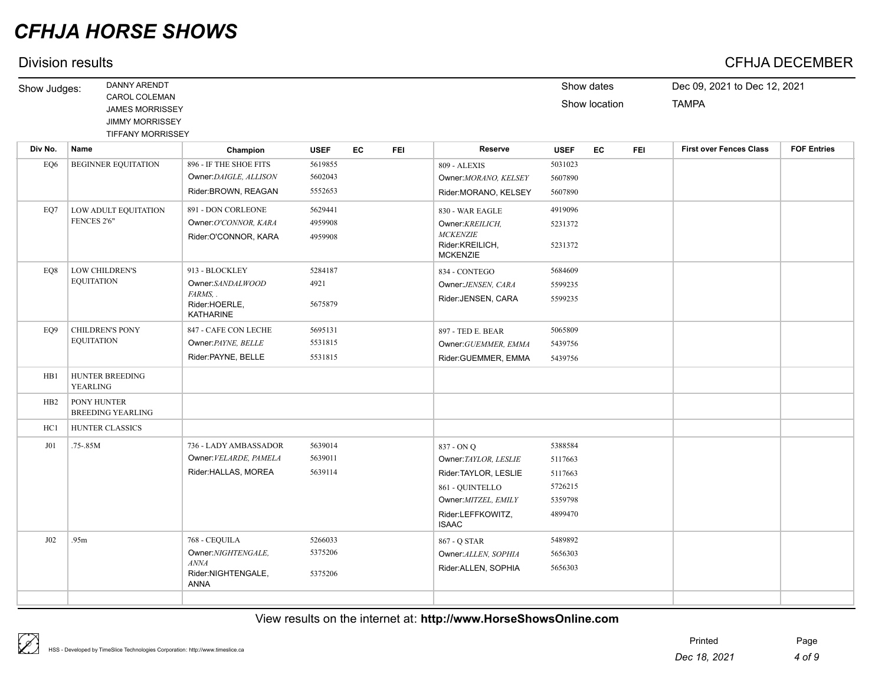## Division results CFHJA DECEMBER

| Show Judges:    | <b>DANNY ARENDT</b>                                                                           |                                                                                     |                               |    |            |                                                                                                                                              |                                                                | Show dates    |     | Dec 09, 2021 to Dec 12, 2021   |                    |
|-----------------|-----------------------------------------------------------------------------------------------|-------------------------------------------------------------------------------------|-------------------------------|----|------------|----------------------------------------------------------------------------------------------------------------------------------------------|----------------------------------------------------------------|---------------|-----|--------------------------------|--------------------|
|                 | CAROL COLEMAN<br><b>JAMES MORRISSEY</b><br><b>JIMMY MORRISSEY</b><br><b>TIFFANY MORRISSEY</b> |                                                                                     |                               |    |            |                                                                                                                                              |                                                                | Show location |     | <b>TAMPA</b>                   |                    |
| Div No.         | <b>Name</b>                                                                                   | Champion                                                                            | <b>USEF</b>                   | EC | <b>FEI</b> | <b>Reserve</b>                                                                                                                               | <b>USEF</b>                                                    | EC            | FEI | <b>First over Fences Class</b> | <b>FOF Entries</b> |
| EQ6             | <b>BEGINNER EQUITATION</b>                                                                    | 896 - IF THE SHOE FITS<br>Owner:DAIGLE, ALLISON<br>Rider:BROWN, REAGAN              | 5619855<br>5602043<br>5552653 |    |            | 809 - ALEXIS<br>Owner: MORANO, KELSEY<br>Rider:MORANO, KELSEY                                                                                | 5031023<br>5607890<br>5607890                                  |               |     |                                |                    |
| EO7             | LOW ADULT EQUITATION<br>FENCES 2'6"                                                           | 891 - DON CORLEONE<br>Owner:O'CONNOR, KARA<br>Rider:O'CONNOR, KARA                  | 5629441<br>4959908<br>4959908 |    |            | 830 - WAR EAGLE<br>Owner: KREILICH,<br><b>MCKENZIE</b><br>Rider:KREILICH,<br><b>MCKENZIE</b>                                                 | 4919096<br>5231372<br>5231372                                  |               |     |                                |                    |
| EO8             | <b>LOW CHILDREN'S</b><br><b>EQUITATION</b>                                                    | 913 - BLOCKLEY<br>Owner:SANDALWOOD<br>FARMS, .<br>Rider:HOERLE,<br><b>KATHARINE</b> | 5284187<br>4921<br>5675879    |    |            | 834 - CONTEGO<br>Owner:JENSEN, CARA<br>Rider:JENSEN, CARA                                                                                    | 5684609<br>5599235<br>5599235                                  |               |     |                                |                    |
| EO <sub>9</sub> | <b>CHILDREN'S PONY</b><br><b>EQUITATION</b>                                                   | 847 - CAFE CON LECHE<br>Owner: PAYNE, BELLE<br>Rider:PAYNE, BELLE                   | 5695131<br>5531815<br>5531815 |    |            | 897 - TED E. BEAR<br>Owner: GUEMMER, EMMA<br>Rider:GUEMMER, EMMA                                                                             | 5065809<br>5439756<br>5439756                                  |               |     |                                |                    |
| HB1             | <b>HUNTER BREEDING</b><br><b>YEARLING</b>                                                     |                                                                                     |                               |    |            |                                                                                                                                              |                                                                |               |     |                                |                    |
| HB2             | PONY HUNTER<br><b>BREEDING YEARLING</b>                                                       |                                                                                     |                               |    |            |                                                                                                                                              |                                                                |               |     |                                |                    |
| HC1             | <b>HUNTER CLASSICS</b>                                                                        |                                                                                     |                               |    |            |                                                                                                                                              |                                                                |               |     |                                |                    |
| J01             | .75-.85M                                                                                      | 736 - LADY AMBASSADOR<br>Owner: VELARDE, PAMELA<br>Rider:HALLAS, MOREA              | 5639014<br>5639011<br>5639114 |    |            | 837 - ON Q<br>Owner: TAYLOR, LESLIE<br>Rider: TAYLOR, LESLIE<br>861 - QUINTELLO<br>Owner: MITZEL, EMILY<br>Rider:LEFFKOWITZ,<br><b>ISAAC</b> | 5388584<br>5117663<br>5117663<br>5726215<br>5359798<br>4899470 |               |     |                                |                    |
| J02             | .95m                                                                                          | 768 - CEQUILA<br>Owner:NIGHTENGALE,<br>ANNA<br>Rider:NIGHTENGALE,<br><b>ANNA</b>    | 5266033<br>5375206<br>5375206 |    |            | 867 - Q STAR<br>Owner: ALLEN, SOPHIA<br>Rider: ALLEN, SOPHIA                                                                                 | 5489892<br>5656303<br>5656303                                  |               |     |                                |                    |
|                 |                                                                                               |                                                                                     |                               |    |            |                                                                                                                                              |                                                                |               |     |                                |                    |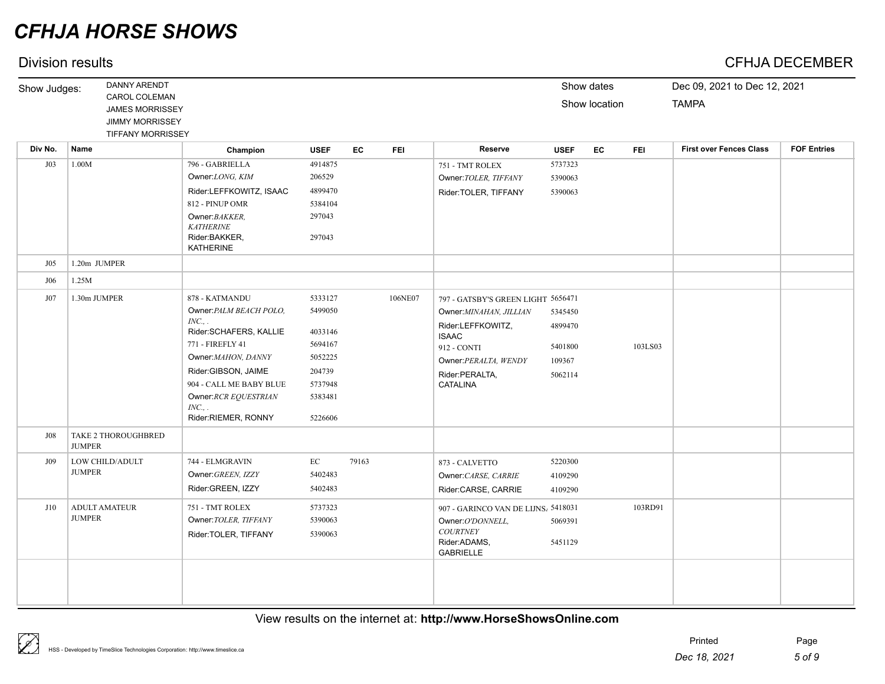|              | DANNY ARENDT                         |                                   |                    |       |            |                                     |             | Show dates    |            | Dec 09, 2021 to Dec 12, 2021   |                    |
|--------------|--------------------------------------|-----------------------------------|--------------------|-------|------------|-------------------------------------|-------------|---------------|------------|--------------------------------|--------------------|
| Show Judges: | CAROL COLEMAN                        |                                   |                    |       |            |                                     |             |               |            |                                |                    |
|              | <b>JAMES MORRISSEY</b>               |                                   |                    |       |            |                                     |             | Show location |            | <b>TAMPA</b>                   |                    |
|              | <b>JIMMY MORRISSEY</b>               |                                   |                    |       |            |                                     |             |               |            |                                |                    |
|              | <b>TIFFANY MORRISSEY</b>             |                                   |                    |       |            |                                     |             |               |            |                                |                    |
| Div No.      | Name                                 | Champion                          | <b>USEF</b>        | EC    | <b>FEI</b> | <b>Reserve</b>                      | <b>USEF</b> | EC            | <b>FEI</b> | <b>First over Fences Class</b> | <b>FOF Entries</b> |
| J03          | 1.00M                                | 796 - GABRIELLA                   | 4914875            |       |            | 751 - TMT ROLEX                     | 5737323     |               |            |                                |                    |
|              |                                      | Owner:LONG, KIM                   | 206529             |       |            | Owner: TOLER, TIFFANY               | 5390063     |               |            |                                |                    |
|              |                                      | Rider:LEFFKOWITZ, ISAAC           | 4899470            |       |            | Rider: TOLER, TIFFANY               | 5390063     |               |            |                                |                    |
|              |                                      | 812 - PINUP OMR                   | 5384104            |       |            |                                     |             |               |            |                                |                    |
|              |                                      | Owner: BAKKER,                    | 297043             |       |            |                                     |             |               |            |                                |                    |
|              |                                      | <b>KATHERINE</b>                  |                    |       |            |                                     |             |               |            |                                |                    |
|              |                                      | Rider:BAKKER,<br><b>KATHERINE</b> | 297043             |       |            |                                     |             |               |            |                                |                    |
| $J_{05}$     | 1.20m JUMPER                         |                                   |                    |       |            |                                     |             |               |            |                                |                    |
| J06          | 1.25M                                |                                   |                    |       |            |                                     |             |               |            |                                |                    |
| J07          | 1.30m JUMPER                         | 878 - KATMANDU                    | 5333127            |       | 106NE07    | 797 - GATSBY'S GREEN LIGHT 5656471  |             |               |            |                                |                    |
|              |                                      | Owner: PALM BEACH POLO,           | 5499050            |       |            | Owner: MINAHAN, JILLIAN             | 5345450     |               |            |                                |                    |
|              |                                      | INC.,                             |                    |       |            | Rider:LEFFKOWITZ,                   | 4899470     |               |            |                                |                    |
|              |                                      | Rider:SCHAFERS, KALLIE            | 4033146            |       |            | <b>ISAAC</b>                        |             |               |            |                                |                    |
|              |                                      | 771 - FIREFLY 41                  | 5694167<br>5052225 |       |            | 912 - CONTI                         | 5401800     |               | 103LS03    |                                |                    |
|              |                                      | Owner: MAHON, DANNY               |                    |       |            | Owner: PERALTA, WENDY               | 109367      |               |            |                                |                    |
|              |                                      | Rider:GIBSON, JAIME               | 204739             |       |            | Rider:PERALTA,                      | 5062114     |               |            |                                |                    |
|              |                                      | 904 - CALL ME BABY BLUE           | 5737948            |       |            | <b>CATALINA</b>                     |             |               |            |                                |                    |
|              |                                      | Owner:RCR EQUESTRIAN<br>INC.,     | 5383481            |       |            |                                     |             |               |            |                                |                    |
|              |                                      | Rider:RIEMER, RONNY               | 5226606            |       |            |                                     |             |               |            |                                |                    |
| <b>J08</b>   | TAKE 2 THOROUGHBRED<br><b>JUMPER</b> |                                   |                    |       |            |                                     |             |               |            |                                |                    |
| J09          | LOW CHILD/ADULT                      | 744 - ELMGRAVIN                   | EC                 | 79163 |            | 873 - CALVETTO                      | 5220300     |               |            |                                |                    |
|              | <b>JUMPER</b>                        | Owner: GREEN, IZZY                | 5402483            |       |            | Owner: CARSE, CARRIE                | 4109290     |               |            |                                |                    |
|              |                                      | Rider:GREEN, IZZY                 | 5402483            |       |            | Rider:CARSE, CARRIE                 | 4109290     |               |            |                                |                    |
| J10          | <b>ADULT AMATEUR</b>                 | 751 - TMT ROLEX                   | 5737323            |       |            | 907 - GARINCO VAN DE LIJNS, 5418031 |             |               | 103RD91    |                                |                    |
|              | <b>JUMPER</b>                        | Owner: TOLER, TIFFANY             | 5390063            |       |            | Owner:O'DONNELL,                    | 5069391     |               |            |                                |                    |
|              |                                      | Rider: TOLER, TIFFANY             |                    |       |            | <b>COURTNEY</b>                     |             |               |            |                                |                    |
|              |                                      |                                   | 5390063            |       |            | Rider:ADAMS,                        | 5451129     |               |            |                                |                    |
|              |                                      |                                   |                    |       |            | <b>GABRIELLE</b>                    |             |               |            |                                |                    |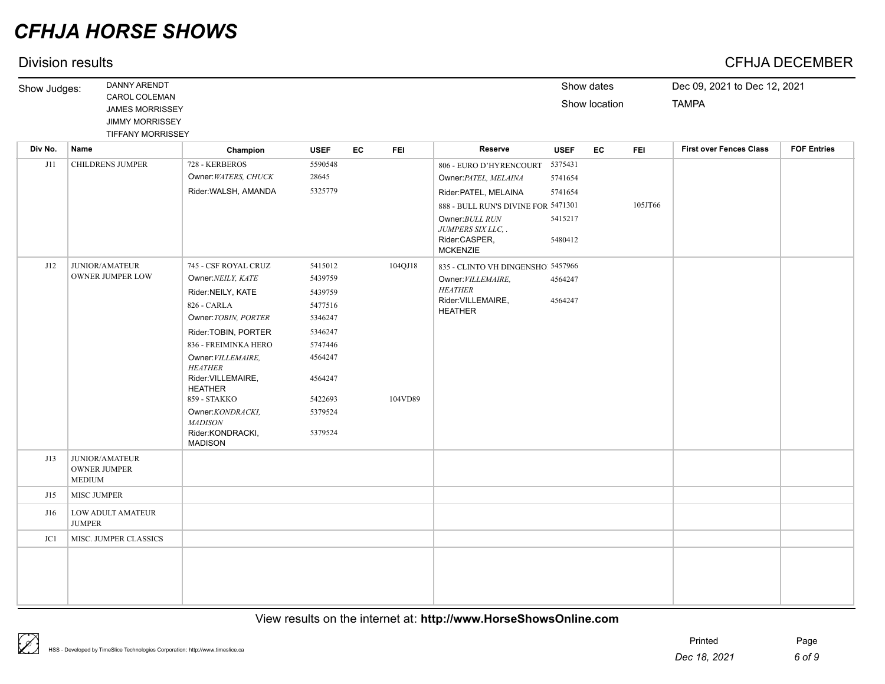## Division results CFHJA DECEMBER

| Show Judges: | DANNY ARENDT             |             |             |              |            |                |             | Show dates    |            | Dec 09, 2021 to Dec 12, 2021 |                    |
|--------------|--------------------------|-------------|-------------|--------------|------------|----------------|-------------|---------------|------------|------------------------------|--------------------|
|              | <b>CAROL COLEMAN</b>     |             |             |              |            |                |             |               |            |                              |                    |
|              | <b>JAMES MORRISSEY</b>   |             |             |              |            |                |             | Show location |            | <b>TAMPA</b>                 |                    |
|              | <b>JIMMY MORRISSEY</b>   |             |             |              |            |                |             |               |            |                              |                    |
|              | <b>TIFFANY MORRISSEY</b> |             |             |              |            |                |             |               |            |                              |                    |
| Div No.      | <b>Nome</b>              | Observation | <b>HOPP</b> | $\mathbf{r}$ | <b>FFI</b> | <b>Donamia</b> | <b>HOPP</b> | $\mathbf{r}$  | <b>COL</b> | First over Fences Class      | <b>COE Entrice</b> |

| Div No. | Name                               | Champion                             | <b>USEF</b> | EC | <b>FEI</b> | Reserve                              | <b>USEF</b> | EC | <b>FEI</b> | <b>First over Fences Class</b> | <b>FOF Entries</b> |
|---------|------------------------------------|--------------------------------------|-------------|----|------------|--------------------------------------|-------------|----|------------|--------------------------------|--------------------|
| J11     | <b>CHILDRENS JUMPER</b>            | 728 - KERBEROS                       | 5590548     |    |            | 806 - EURO D'HYRENCOURT              | 5375431     |    |            |                                |                    |
|         |                                    | Owner: WATERS, CHUCK                 | 28645       |    |            | Owner: PATEL, MELAINA                | 5741654     |    |            |                                |                    |
|         |                                    | Rider: WALSH, AMANDA                 | 5325779     |    |            | Rider: PATEL, MELAINA                | 5741654     |    |            |                                |                    |
|         |                                    |                                      |             |    |            | 888 - BULL RUN'S DIVINE FOR 5471301  |             |    | 105JT66    |                                |                    |
|         |                                    |                                      |             |    |            | Owner: BULL RUN<br>JUMPERS SIX LLC   | 5415217     |    |            |                                |                    |
|         |                                    |                                      |             |    |            | Rider:CASPER,<br><b>MCKENZIE</b>     | 5480412     |    |            |                                |                    |
| J12     | <b>JUNIOR/AMATEUR</b>              | 745 - CSF ROYAL CRUZ                 | 5415012     |    | 104QJ18    | 835 - CLINTO VH DINGENSHOJ 5457966   |             |    |            |                                |                    |
|         | <b>OWNER JUMPER LOW</b>            | Owner:NEILY, KATE                    | 5439759     |    |            | Owner: VILLEMAIRE,                   | 4564247     |    |            |                                |                    |
|         |                                    | Rider:NEILY, KATE                    | 5439759     |    |            | <b>HEATHER</b>                       |             |    |            |                                |                    |
|         |                                    | 826 - CARLA                          | 5477516     |    |            | Rider: VILLEMAIRE,<br><b>HEATHER</b> | 4564247     |    |            |                                |                    |
|         |                                    | Owner: TOBIN, PORTER                 | 5346247     |    |            |                                      |             |    |            |                                |                    |
|         |                                    | Rider:TOBIN, PORTER                  | 5346247     |    |            |                                      |             |    |            |                                |                    |
|         |                                    | 836 - FREIMINKA HERO                 | 5747446     |    |            |                                      |             |    |            |                                |                    |
|         |                                    | Owner: VILLEMAIRE,<br><b>HEATHER</b> | 4564247     |    |            |                                      |             |    |            |                                |                    |
|         |                                    | Rider: VILLEMAIRE,<br><b>HEATHER</b> | 4564247     |    |            |                                      |             |    |            |                                |                    |
|         |                                    | 859 - STAKKO                         | 5422693     |    | 104VD89    |                                      |             |    |            |                                |                    |
|         |                                    | Owner:KONDRACKI,<br><b>MADISON</b>   | 5379524     |    |            |                                      |             |    |            |                                |                    |
|         |                                    | Rider:KONDRACKI,<br><b>MADISON</b>   | 5379524     |    |            |                                      |             |    |            |                                |                    |
| J13     | <b>JUNIOR/AMATEUR</b>              |                                      |             |    |            |                                      |             |    |            |                                |                    |
|         | <b>OWNER JUMPER</b>                |                                      |             |    |            |                                      |             |    |            |                                |                    |
|         | <b>MEDIUM</b>                      |                                      |             |    |            |                                      |             |    |            |                                |                    |
| J15     | <b>MISC JUMPER</b>                 |                                      |             |    |            |                                      |             |    |            |                                |                    |
| J16     | LOW ADULT AMATEUR<br><b>JUMPER</b> |                                      |             |    |            |                                      |             |    |            |                                |                    |
| JC1     | MISC. JUMPER CLASSICS              |                                      |             |    |            |                                      |             |    |            |                                |                    |
|         |                                    |                                      |             |    |            |                                      |             |    |            |                                |                    |
|         |                                    |                                      |             |    |            |                                      |             |    |            |                                |                    |
|         |                                    |                                      |             |    |            |                                      |             |    |            |                                |                    |
|         |                                    |                                      |             |    |            |                                      |             |    |            |                                |                    |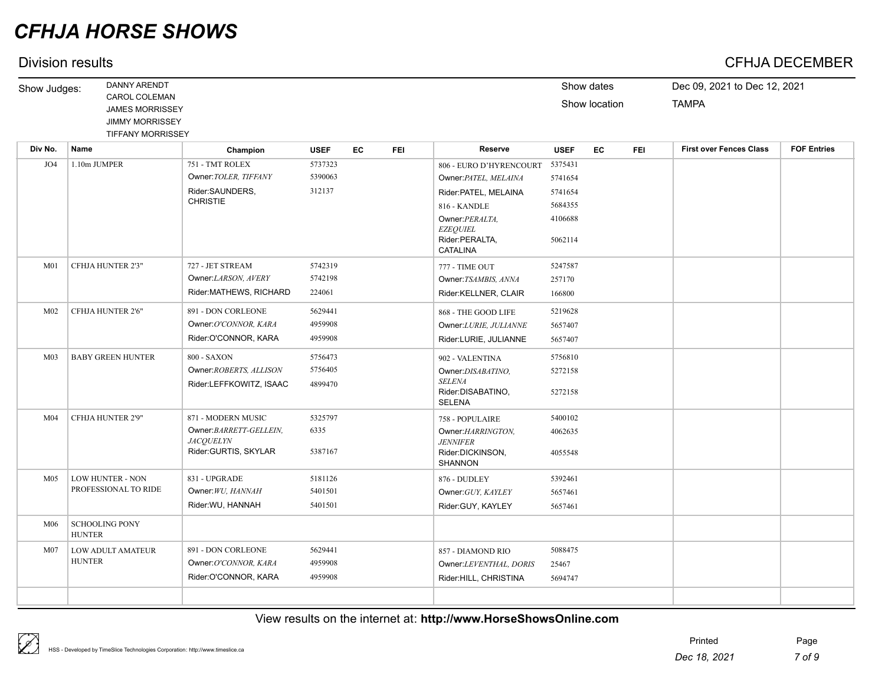## Division results CFHJA DECEMBER

| Show Judges:    | DANNY ARENDT             |          |             |    |            |         |             | Show dates    |            | Dec 09, 2021 to Dec 12, 2021   |                    |
|-----------------|--------------------------|----------|-------------|----|------------|---------|-------------|---------------|------------|--------------------------------|--------------------|
|                 | CAROL COLEMAN            |          |             |    |            |         |             | Show location |            | <b>TAMPA</b>                   |                    |
|                 | <b>JAMES MORRISSEY</b>   |          |             |    |            |         |             |               |            |                                |                    |
|                 | <b>JIMMY MORRISSEY</b>   |          |             |    |            |         |             |               |            |                                |                    |
|                 | <b>TIFFANY MORRISSEY</b> |          |             |    |            |         |             |               |            |                                |                    |
| Name<br>Div No. |                          | Champion | <b>USEF</b> | EC | <b>FEI</b> | Reserve | <b>USEF</b> | EC            | <b>FEI</b> | <b>First over Fences Class</b> | <b>FOF Entries</b> |

|                 |                          | V                                        | ---     | . |                                    |         |  |  |
|-----------------|--------------------------|------------------------------------------|---------|---|------------------------------------|---------|--|--|
| JO <sub>4</sub> | 1.10m JUMPER             | 751 - TMT ROLEX                          | 5737323 |   | 806 - EURO D'HYRENCOURT            | 5375431 |  |  |
|                 |                          | Owner: TOLER, TIFFANY                    | 5390063 |   | Owner: PATEL, MELAINA              | 5741654 |  |  |
|                 |                          | Rider:SAUNDERS,                          | 312137  |   | Rider: PATEL, MELAINA              | 5741654 |  |  |
|                 |                          | <b>CHRISTIE</b>                          |         |   | 816 - KANDLE                       | 5684355 |  |  |
|                 |                          |                                          |         |   | Owner: PERALTA,                    | 4106688 |  |  |
|                 |                          |                                          |         |   | <b>EZEQUIEL</b><br>Rider:PERALTA,  | 5062114 |  |  |
|                 |                          |                                          |         |   | <b>CATALINA</b>                    |         |  |  |
| M <sub>01</sub> | CFHJA HUNTER 2'3"        | 727 - JET STREAM                         | 5742319 |   | 777 - TIME OUT                     | 5247587 |  |  |
|                 |                          | Owner:LARSON, AVERY                      | 5742198 |   | Owner: TSAMBIS, ANNA               | 257170  |  |  |
|                 |                          | Rider:MATHEWS, RICHARD                   | 224061  |   | Rider:KELLNER, CLAIR               | 166800  |  |  |
| M <sub>02</sub> | CFHJA HUNTER 2'6"        | 891 - DON CORLEONE                       | 5629441 |   | 868 - THE GOOD LIFE                | 5219628 |  |  |
|                 |                          | Owner:O'CONNOR, KARA                     | 4959908 |   | Owner:LURIE, JULIANNE              | 5657407 |  |  |
|                 |                          | Rider: O'CONNOR, KARA                    | 4959908 |   | Rider:LURIE, JULIANNE              | 5657407 |  |  |
| M <sub>03</sub> | <b>BABY GREEN HUNTER</b> | 800 - SAXON                              | 5756473 |   | 902 - VALENTINA                    | 5756810 |  |  |
|                 |                          | Owner: ROBERTS, ALLISON                  | 5756405 |   | Owner:DISABATINO,                  | 5272158 |  |  |
|                 |                          | Rider:LEFFKOWITZ, ISAAC                  | 4899470 |   | <b>SELENA</b>                      |         |  |  |
|                 |                          |                                          |         |   | Rider:DISABATINO,<br><b>SELENA</b> | 5272158 |  |  |
| M <sub>04</sub> | CFHJA HUNTER 2'9"        | 871 - MODERN MUSIC                       | 5325797 |   | 758 - POPULAIRE                    | 5400102 |  |  |
|                 |                          | Owner:BARRETT-GELLEIN,                   | 6335    |   | Owner:HARRINGTON,                  | 4062635 |  |  |
|                 |                          | <b>JACQUELYN</b><br>Rider:GURTIS, SKYLAR | 5387167 |   | <b>JENNIFER</b>                    |         |  |  |
|                 |                          |                                          |         |   | Rider:DICKINSON,<br><b>SHANNON</b> | 4055548 |  |  |
| M <sub>05</sub> | LOW HUNTER - NON         | 831 - UPGRADE                            | 5181126 |   | 876 - DUDLEY                       | 5392461 |  |  |
|                 | PROFESSIONAL TO RIDE     | Owner: WU, HANNAH                        | 5401501 |   | Owner: GUY, KAYLEY                 | 5657461 |  |  |
|                 |                          | Rider: WU, HANNAH                        | 5401501 |   | Rider:GUY, KAYLEY                  | 5657461 |  |  |
| M06             | <b>SCHOOLING PONY</b>    |                                          |         |   |                                    |         |  |  |
|                 | <b>HUNTER</b>            |                                          |         |   |                                    |         |  |  |
| M <sub>07</sub> | LOW ADULT AMATEUR        | 891 - DON CORLEONE                       | 5629441 |   | 857 - DIAMOND RIO                  | 5088475 |  |  |
|                 | <b>HUNTER</b>            | Owner:O'CONNOR, KARA                     | 4959908 |   | Owner:LEVENTHAL, DORIS             | 25467   |  |  |
|                 |                          | Rider: O'CONNOR, KARA                    | 4959908 |   | Rider: HILL, CHRISTINA             | 5694747 |  |  |
|                 |                          |                                          |         |   |                                    |         |  |  |
|                 |                          |                                          |         |   |                                    |         |  |  |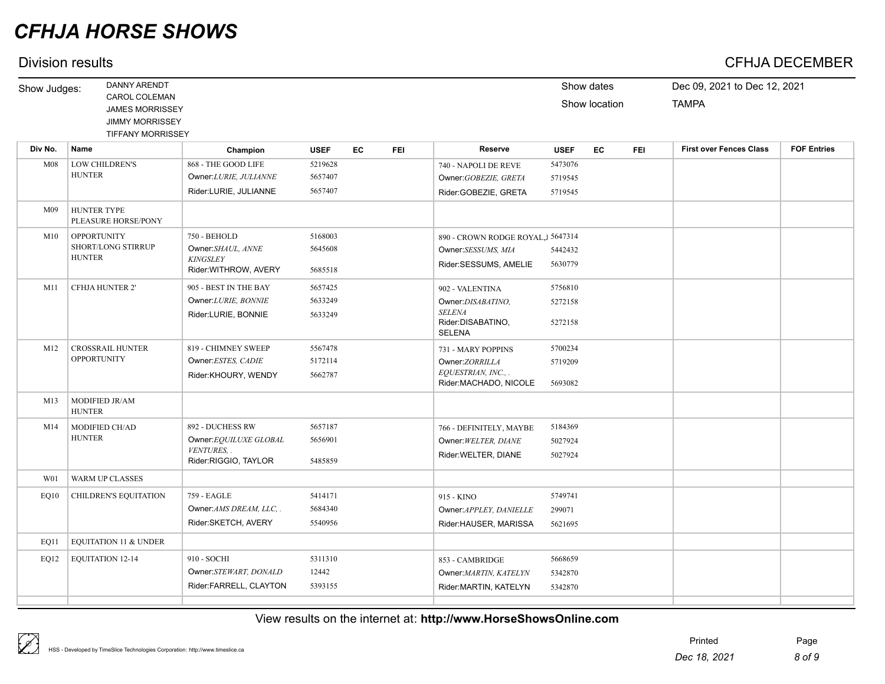| Show Judges: | <b>DANNY ARENDT</b>                                                                           |                                                                               |                               |    |            |                                                                                             |                               | Show dates    |            | Dec 09, 2021 to Dec 12, 2021   |                    |
|--------------|-----------------------------------------------------------------------------------------------|-------------------------------------------------------------------------------|-------------------------------|----|------------|---------------------------------------------------------------------------------------------|-------------------------------|---------------|------------|--------------------------------|--------------------|
|              | CAROL COLEMAN<br><b>JAMES MORRISSEY</b><br><b>JIMMY MORRISSEY</b><br><b>TIFFANY MORRISSEY</b> |                                                                               |                               |    |            |                                                                                             |                               | Show location |            | <b>TAMPA</b>                   |                    |
| Div No.      | Name                                                                                          | Champion                                                                      | <b>USEF</b>                   | EC | <b>FEI</b> | Reserve                                                                                     | <b>USEF</b>                   | EC            | <b>FEI</b> | <b>First over Fences Class</b> | <b>FOF Entries</b> |
| M08          | <b>LOW CHILDREN'S</b><br><b>HUNTER</b>                                                        | 868 - THE GOOD LIFE<br>Owner: LURIE, JULIANNE<br>Rider:LURIE, JULIANNE        | 5219628<br>5657407<br>5657407 |    |            | 740 - NAPOLI DE REVE<br>Owner: GOBEZIE, GRETA<br>Rider:GOBEZIE, GRETA                       | 5473076<br>5719545<br>5719545 |               |            |                                |                    |
| M09          | <b>HUNTER TYPE</b><br>PLEASURE HORSE/PONY                                                     |                                                                               |                               |    |            |                                                                                             |                               |               |            |                                |                    |
| M10          | <b>OPPORTUNITY</b><br><b>SHORT/LONG STIRRUP</b><br><b>HUNTER</b>                              | 750 - BEHOLD<br>Owner:SHAUL, ANNE<br><b>KINGSLEY</b><br>Rider: WITHROW, AVERY | 5168003<br>5645608<br>5685518 |    |            | 890 - CROWN RODGE ROYAL, J5647314<br>Owner:SESSUMS, MIA<br>Rider:SESSUMS, AMELIE            | 5442432<br>5630779            |               |            |                                |                    |
| M11          | <b>CFHJA HUNTER 2'</b>                                                                        | 905 - BEST IN THE BAY<br>Owner: LURIE, BONNIE<br>Rider:LURIE, BONNIE          | 5657425<br>5633249<br>5633249 |    |            | 902 - VALENTINA<br>Owner:DISABATINO,<br><b>SELENA</b><br>Rider:DISABATINO,<br><b>SELENA</b> | 5756810<br>5272158<br>5272158 |               |            |                                |                    |
| M12          | <b>CROSSRAIL HUNTER</b><br><b>OPPORTUNITY</b>                                                 | 819 - CHIMNEY SWEEP<br>Owner: ESTES, CADIE<br>Rider:KHOURY, WENDY             | 5567478<br>5172114<br>5662787 |    |            | 731 - MARY POPPINS<br>Owner:ZORRILLA<br>EQUESTRIAN, INC.,.<br>Rider:MACHADO, NICOLE         | 5700234<br>5719209<br>5693082 |               |            |                                |                    |
| M13          | MODIFIED JR/AM<br><b>HUNTER</b>                                                               |                                                                               |                               |    |            |                                                                                             |                               |               |            |                                |                    |
| M14          | MODIFIED CH/AD<br><b>HUNTER</b>                                                               | 892 - DUCHESS RW<br>Owner:EQUILUXE GLOBAL<br>VENTURES,                        | 5657187<br>5656901            |    |            | 766 - DEFINITELY, MAYBE<br>Owner: WELTER, DIANE<br>BULL MUSIC TO BLANC                      | 5184369<br>5027924<br>5007001 |               |            |                                |                    |

|      |                       | Rider:SKETCH, AVERY                                            | 5540956                     | Rider:HAUSER, MARISSA                                              | 5621695                       |  |
|------|-----------------------|----------------------------------------------------------------|-----------------------------|--------------------------------------------------------------------|-------------------------------|--|
| EQ11 | EQUITATION 11 & UNDER |                                                                |                             |                                                                    |                               |  |
| EQ12 | EQUITATION 12-14      | 910 - SOCHI<br>Owner:STEWART, DONALD<br>Rider:FARRELL, CLAYTON | 5311310<br>12442<br>5393155 | 853 - CAMBRIDGE<br>Owner: MARTIN, KATELYN<br>Rider:MARTIN, KATELYN | 5668659<br>5342870<br>5342870 |  |
|      |                       |                                                                |                             |                                                                    |                               |  |

Rider:WELTER, DIANE 5027924

Owner: APPLEY, DANIELLE 299071

### View results on the internet at: **http://www.HorseShowsOnline.com**

W01 WARM UP CLASSES

Rider:RIGGIO, TAYLOR 5485859

Owner:*AMS DREAM, LLC, .* 5684340

EQ10 CHILDREN'S EQUITATION 759 - EAGLE 5414171 915 - KINO 5749741